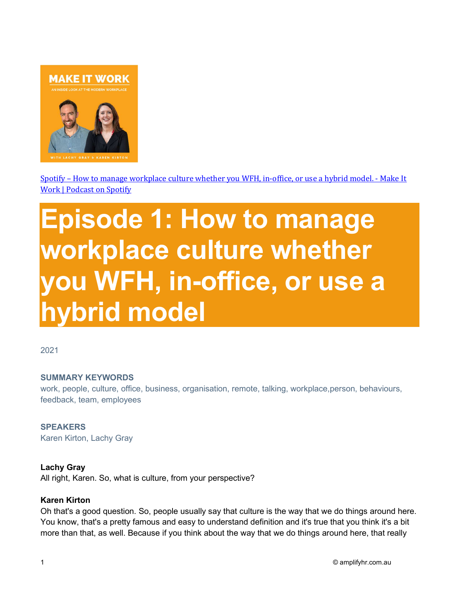

Spotify – How to manage workplace culture whether you WFH, in-office, or use a hybrid model. - Make It Work | Podcast on Spotify

# Episode 1: How to manage workplace culture whether you WFH, in-office, or use a hybrid model

2021

#### SUMMARY KEYWORDS

work, people, culture, office, business, organisation, remote, talking, workplace,person, behaviours, feedback, team, employees

**SPEAKERS** Karen Kirton, Lachy Gray

#### Lachy Gray

All right, Karen. So, what is culture, from your perspective?

#### Karen Kirton

Oh that's a good question. So, people usually say that culture is the way that we do things around here. You know, that's a pretty famous and easy to understand definition and it's true that you think it's a bit more than that, as well. Because if you think about the way that we do things around here, that really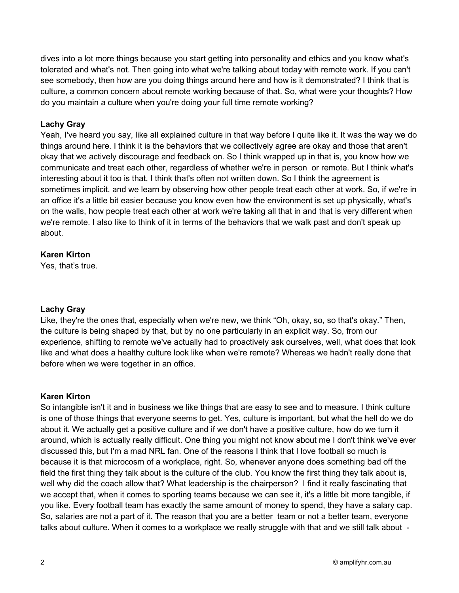dives into a lot more things because you start getting into personality and ethics and you know what's tolerated and what's not. Then going into what we're talking about today with remote work. If you can't see somebody, then how are you doing things around here and how is it demonstrated? I think that is culture, a common concern about remote working because of that. So, what were your thoughts? How do you maintain a culture when you're doing your full time remote working?

## Lachy Gray

Yeah, I've heard you say, like all explained culture in that way before I quite like it. It was the way we do things around here. I think it is the behaviors that we collectively agree are okay and those that aren't okay that we actively discourage and feedback on. So I think wrapped up in that is, you know how we communicate and treat each other, regardless of whether we're in person or remote. But I think what's interesting about it too is that, I think that's often not written down. So I think the agreement is sometimes implicit, and we learn by observing how other people treat each other at work. So, if we're in an office it's a little bit easier because you know even how the environment is set up physically, what's on the walls, how people treat each other at work we're taking all that in and that is very different when we're remote. I also like to think of it in terms of the behaviors that we walk past and don't speak up about.

## Karen Kirton

Yes, that's true.

## Lachy Gray

Like, they're the ones that, especially when we're new, we think "Oh, okay, so, so that's okay." Then, the culture is being shaped by that, but by no one particularly in an explicit way. So, from our experience, shifting to remote we've actually had to proactively ask ourselves, well, what does that look like and what does a healthy culture look like when we're remote? Whereas we hadn't really done that before when we were together in an office.

## Karen Kirton

So intangible isn't it and in business we like things that are easy to see and to measure. I think culture is one of those things that everyone seems to get. Yes, culture is important, but what the hell do we do about it. We actually get a positive culture and if we don't have a positive culture, how do we turn it around, which is actually really difficult. One thing you might not know about me I don't think we've ever discussed this, but I'm a mad NRL fan. One of the reasons I think that I love football so much is because it is that microcosm of a workplace, right. So, whenever anyone does something bad off the field the first thing they talk about is the culture of the club. You know the first thing they talk about is, well why did the coach allow that? What leadership is the chairperson? I find it really fascinating that we accept that, when it comes to sporting teams because we can see it, it's a little bit more tangible, if you like. Every football team has exactly the same amount of money to spend, they have a salary cap. So, salaries are not a part of it. The reason that you are a better team or not a better team, everyone talks about culture. When it comes to a workplace we really struggle with that and we still talk about -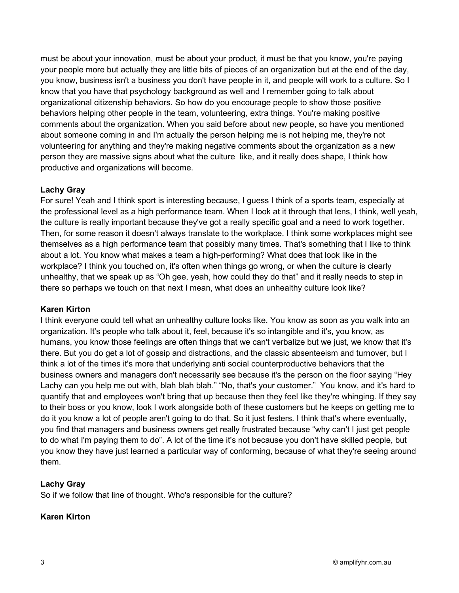must be about your innovation, must be about your product, it must be that you know, you're paying your people more but actually they are little bits of pieces of an organization but at the end of the day, you know, business isn't a business you don't have people in it, and people will work to a culture. So I know that you have that psychology background as well and I remember going to talk about organizational citizenship behaviors. So how do you encourage people to show those positive behaviors helping other people in the team, volunteering, extra things. You're making positive comments about the organization. When you said before about new people, so have you mentioned about someone coming in and I'm actually the person helping me is not helping me, they're not volunteering for anything and they're making negative comments about the organization as a new person they are massive signs about what the culture like, and it really does shape, I think how productive and organizations will become.

# Lachy Gray

For sure! Yeah and I think sport is interesting because, I guess I think of a sports team, especially at the professional level as a high performance team. When I look at it through that lens, I think, well yeah, the culture is really important because they've got a really specific goal and a need to work together. Then, for some reason it doesn't always translate to the workplace. I think some workplaces might see themselves as a high performance team that possibly many times. That's something that I like to think about a lot. You know what makes a team a high-performing? What does that look like in the workplace? I think you touched on, it's often when things go wrong, or when the culture is clearly unhealthy, that we speak up as "Oh gee, yeah, how could they do that" and it really needs to step in there so perhaps we touch on that next I mean, what does an unhealthy culture look like?

# Karen Kirton

I think everyone could tell what an unhealthy culture looks like. You know as soon as you walk into an organization. It's people who talk about it, feel, because it's so intangible and it's, you know, as humans, you know those feelings are often things that we can't verbalize but we just, we know that it's there. But you do get a lot of gossip and distractions, and the classic absenteeism and turnover, but I think a lot of the times it's more that underlying anti social counterproductive behaviors that the business owners and managers don't necessarily see because it's the person on the floor saying "Hey Lachy can you help me out with, blah blah blah." "No, that's your customer." You know, and it's hard to quantify that and employees won't bring that up because then they feel like they're whinging. If they say to their boss or you know, look I work alongside both of these customers but he keeps on getting me to do it you know a lot of people aren't going to do that. So it just festers. I think that's where eventually, you find that managers and business owners get really frustrated because "why can't I just get people to do what I'm paying them to do". A lot of the time it's not because you don't have skilled people, but you know they have just learned a particular way of conforming, because of what they're seeing around them.

# Lachy Gray

So if we follow that line of thought. Who's responsible for the culture?

# Karen Kirton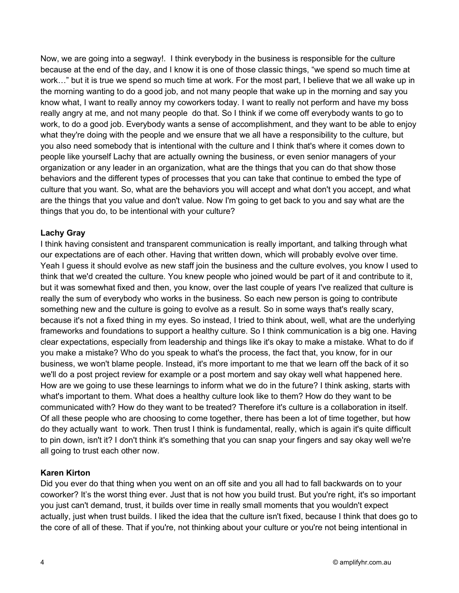Now, we are going into a segway!. I think everybody in the business is responsible for the culture because at the end of the day, and I know it is one of those classic things, "we spend so much time at work…" but it is true we spend so much time at work. For the most part, I believe that we all wake up in the morning wanting to do a good job, and not many people that wake up in the morning and say you know what, I want to really annoy my coworkers today. I want to really not perform and have my boss really angry at me, and not many people do that. So I think if we come off everybody wants to go to work, to do a good job. Everybody wants a sense of accomplishment, and they want to be able to enjoy what they're doing with the people and we ensure that we all have a responsibility to the culture, but you also need somebody that is intentional with the culture and I think that's where it comes down to people like yourself Lachy that are actually owning the business, or even senior managers of your organization or any leader in an organization, what are the things that you can do that show those behaviors and the different types of processes that you can take that continue to embed the type of culture that you want. So, what are the behaviors you will accept and what don't you accept, and what are the things that you value and don't value. Now I'm going to get back to you and say what are the things that you do, to be intentional with your culture?

# Lachy Gray

I think having consistent and transparent communication is really important, and talking through what our expectations are of each other. Having that written down, which will probably evolve over time. Yeah I guess it should evolve as new staff join the business and the culture evolves, you know I used to think that we'd created the culture. You knew people who joined would be part of it and contribute to it, but it was somewhat fixed and then, you know, over the last couple of years I've realized that culture is really the sum of everybody who works in the business. So each new person is going to contribute something new and the culture is going to evolve as a result. So in some ways that's really scary, because it's not a fixed thing in my eyes. So instead, I tried to think about, well, what are the underlying frameworks and foundations to support a healthy culture. So I think communication is a big one. Having clear expectations, especially from leadership and things like it's okay to make a mistake. What to do if you make a mistake? Who do you speak to what's the process, the fact that, you know, for in our business, we won't blame people. Instead, it's more important to me that we learn off the back of it so we'll do a post project review for example or a post mortem and say okay well what happened here. How are we going to use these learnings to inform what we do in the future? I think asking, starts with what's important to them. What does a healthy culture look like to them? How do they want to be communicated with? How do they want to be treated? Therefore it's culture is a collaboration in itself. Of all these people who are choosing to come together, there has been a lot of time together, but how do they actually want to work. Then trust I think is fundamental, really, which is again it's quite difficult to pin down, isn't it? I don't think it's something that you can snap your fingers and say okay well we're all going to trust each other now.

## Karen Kirton

Did you ever do that thing when you went on an off site and you all had to fall backwards on to your coworker? It's the worst thing ever. Just that is not how you build trust. But you're right, it's so important you just can't demand, trust, it builds over time in really small moments that you wouldn't expect actually, just when trust builds. I liked the idea that the culture isn't fixed, because I think that does go to the core of all of these. That if you're, not thinking about your culture or you're not being intentional in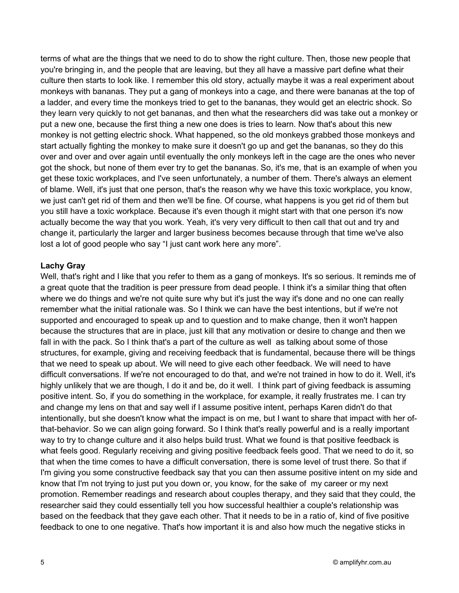terms of what are the things that we need to do to show the right culture. Then, those new people that you're bringing in, and the people that are leaving, but they all have a massive part define what their culture then starts to look like. I remember this old story, actually maybe it was a real experiment about monkeys with bananas. They put a gang of monkeys into a cage, and there were bananas at the top of a ladder, and every time the monkeys tried to get to the bananas, they would get an electric shock. So they learn very quickly to not get bananas, and then what the researchers did was take out a monkey or put a new one, because the first thing a new one does is tries to learn. Now that's about this new monkey is not getting electric shock. What happened, so the old monkeys grabbed those monkeys and start actually fighting the monkey to make sure it doesn't go up and get the bananas, so they do this over and over and over again until eventually the only monkeys left in the cage are the ones who never got the shock, but none of them ever try to get the bananas. So, it's me, that is an example of when you get these toxic workplaces, and I've seen unfortunately, a number of them. There's always an element of blame. Well, it's just that one person, that's the reason why we have this toxic workplace, you know, we just can't get rid of them and then we'll be fine. Of course, what happens is you get rid of them but you still have a toxic workplace. Because it's even though it might start with that one person it's now actually become the way that you work. Yeah, it's very very difficult to then call that out and try and change it, particularly the larger and larger business becomes because through that time we've also lost a lot of good people who say "I just cant work here any more".

#### Lachy Gray

Well, that's right and I like that you refer to them as a gang of monkeys. It's so serious. It reminds me of a great quote that the tradition is peer pressure from dead people. I think it's a similar thing that often where we do things and we're not quite sure why but it's just the way it's done and no one can really remember what the initial rationale was. So I think we can have the best intentions, but if we're not supported and encouraged to speak up and to question and to make change, then it won't happen because the structures that are in place, just kill that any motivation or desire to change and then we fall in with the pack. So I think that's a part of the culture as well as talking about some of those structures, for example, giving and receiving feedback that is fundamental, because there will be things that we need to speak up about. We will need to give each other feedback. We will need to have difficult conversations. If we're not encouraged to do that, and we're not trained in how to do it. Well, it's highly unlikely that we are though, I do it and be, do it well. I think part of giving feedback is assuming positive intent. So, if you do something in the workplace, for example, it really frustrates me. I can try and change my lens on that and say well if I assume positive intent, perhaps Karen didn't do that intentionally, but she doesn't know what the impact is on me, but I want to share that impact with her ofthat-behavior. So we can align going forward. So I think that's really powerful and is a really important way to try to change culture and it also helps build trust. What we found is that positive feedback is what feels good. Regularly receiving and giving positive feedback feels good. That we need to do it, so that when the time comes to have a difficult conversation, there is some level of trust there. So that if I'm giving you some constructive feedback say that you can then assume positive intent on my side and know that I'm not trying to just put you down or, you know, for the sake of my career or my next promotion. Remember readings and research about couples therapy, and they said that they could, the researcher said they could essentially tell you how successful healthier a couple's relationship was based on the feedback that they gave each other. That it needs to be in a ratio of, kind of five positive feedback to one to one negative. That's how important it is and also how much the negative sticks in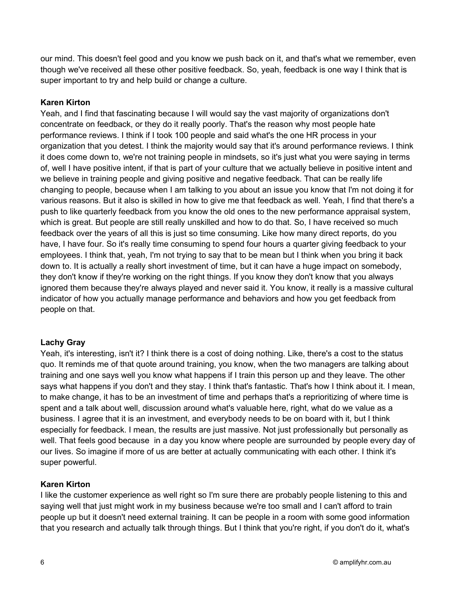our mind. This doesn't feel good and you know we push back on it, and that's what we remember, even though we've received all these other positive feedback. So, yeah, feedback is one way I think that is super important to try and help build or change a culture.

## Karen Kirton

Yeah, and I find that fascinating because I will would say the vast majority of organizations don't concentrate on feedback, or they do it really poorly. That's the reason why most people hate performance reviews. I think if I took 100 people and said what's the one HR process in your organization that you detest. I think the majority would say that it's around performance reviews. I think it does come down to, we're not training people in mindsets, so it's just what you were saying in terms of, well I have positive intent, if that is part of your culture that we actually believe in positive intent and we believe in training people and giving positive and negative feedback. That can be really life changing to people, because when I am talking to you about an issue you know that I'm not doing it for various reasons. But it also is skilled in how to give me that feedback as well. Yeah, I find that there's a push to like quarterly feedback from you know the old ones to the new performance appraisal system, which is great. But people are still really unskilled and how to do that. So, I have received so much feedback over the years of all this is just so time consuming. Like how many direct reports, do you have, I have four. So it's really time consuming to spend four hours a quarter giving feedback to your employees. I think that, yeah, I'm not trying to say that to be mean but I think when you bring it back down to. It is actually a really short investment of time, but it can have a huge impact on somebody, they don't know if they're working on the right things. If you know they don't know that you always ignored them because they're always played and never said it. You know, it really is a massive cultural indicator of how you actually manage performance and behaviors and how you get feedback from people on that.

# Lachy Gray

Yeah, it's interesting, isn't it? I think there is a cost of doing nothing. Like, there's a cost to the status quo. It reminds me of that quote around training, you know, when the two managers are talking about training and one says well you know what happens if I train this person up and they leave. The other says what happens if you don't and they stay. I think that's fantastic. That's how I think about it. I mean, to make change, it has to be an investment of time and perhaps that's a reprioritizing of where time is spent and a talk about well, discussion around what's valuable here, right, what do we value as a business. I agree that it is an investment, and everybody needs to be on board with it, but I think especially for feedback. I mean, the results are just massive. Not just professionally but personally as well. That feels good because in a day you know where people are surrounded by people every day of our lives. So imagine if more of us are better at actually communicating with each other. I think it's super powerful.

## Karen Kirton

I like the customer experience as well right so I'm sure there are probably people listening to this and saying well that just might work in my business because we're too small and I can't afford to train people up but it doesn't need external training. It can be people in a room with some good information that you research and actually talk through things. But I think that you're right, if you don't do it, what's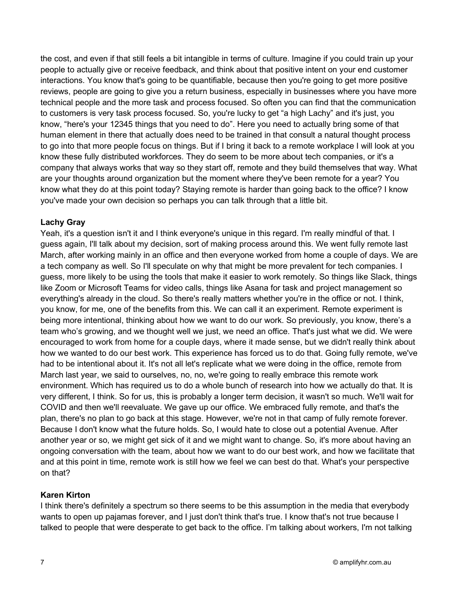the cost, and even if that still feels a bit intangible in terms of culture. Imagine if you could train up your people to actually give or receive feedback, and think about that positive intent on your end customer interactions. You know that's going to be quantifiable, because then you're going to get more positive reviews, people are going to give you a return business, especially in businesses where you have more technical people and the more task and process focused. So often you can find that the communication to customers is very task process focused. So, you're lucky to get "a high Lachy" and it's just, you know, "here's your 12345 things that you need to do". Here you need to actually bring some of that human element in there that actually does need to be trained in that consult a natural thought process to go into that more people focus on things. But if I bring it back to a remote workplace I will look at you know these fully distributed workforces. They do seem to be more about tech companies, or it's a company that always works that way so they start off, remote and they build themselves that way. What are your thoughts around organization but the moment where they've been remote for a year? You know what they do at this point today? Staying remote is harder than going back to the office? I know you've made your own decision so perhaps you can talk through that a little bit.

## Lachy Gray

Yeah, it's a question isn't it and I think everyone's unique in this regard. I'm really mindful of that. I guess again, I'll talk about my decision, sort of making process around this. We went fully remote last March, after working mainly in an office and then everyone worked from home a couple of days. We are a tech company as well. So I'll speculate on why that might be more prevalent for tech companies. I guess, more likely to be using the tools that make it easier to work remotely. So things like Slack, things like Zoom or Microsoft Teams for video calls, things like Asana for task and project management so everything's already in the cloud. So there's really matters whether you're in the office or not. I think, you know, for me, one of the benefits from this. We can call it an experiment. Remote experiment is being more intentional, thinking about how we want to do our work. So previously, you know, there's a team who's growing, and we thought well we just, we need an office. That's just what we did. We were encouraged to work from home for a couple days, where it made sense, but we didn't really think about how we wanted to do our best work. This experience has forced us to do that. Going fully remote, we've had to be intentional about it. It's not all let's replicate what we were doing in the office, remote from March last year, we said to ourselves, no, no, we're going to really embrace this remote work environment. Which has required us to do a whole bunch of research into how we actually do that. It is very different, I think. So for us, this is probably a longer term decision, it wasn't so much. We'll wait for COVID and then we'll reevaluate. We gave up our office. We embraced fully remote, and that's the plan, there's no plan to go back at this stage. However, we're not in that camp of fully remote forever. Because I don't know what the future holds. So, I would hate to close out a potential Avenue. After another year or so, we might get sick of it and we might want to change. So, it's more about having an ongoing conversation with the team, about how we want to do our best work, and how we facilitate that and at this point in time, remote work is still how we feel we can best do that. What's your perspective on that?

## Karen Kirton

I think there's definitely a spectrum so there seems to be this assumption in the media that everybody wants to open up pajamas forever, and I just don't think that's true. I know that's not true because I talked to people that were desperate to get back to the office. I'm talking about workers, I'm not talking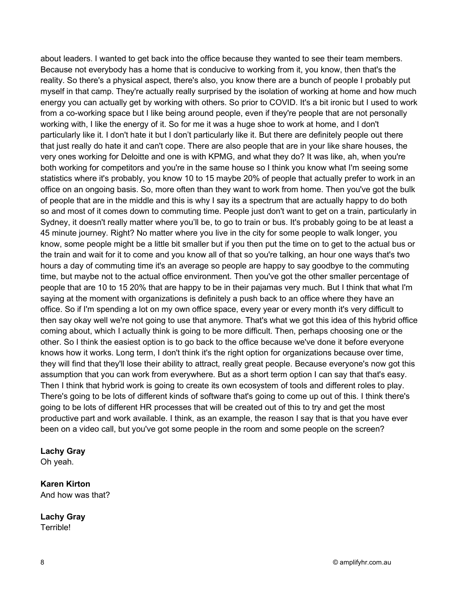about leaders. I wanted to get back into the office because they wanted to see their team members. Because not everybody has a home that is conducive to working from it, you know, then that's the reality. So there's a physical aspect, there's also, you know there are a bunch of people I probably put myself in that camp. They're actually really surprised by the isolation of working at home and how much energy you can actually get by working with others. So prior to COVID. It's a bit ironic but I used to work from a co-working space but I like being around people, even if they're people that are not personally working with, I like the energy of it. So for me it was a huge shoe to work at home, and I don't particularly like it. I don't hate it but I don't particularly like it. But there are definitely people out there that just really do hate it and can't cope. There are also people that are in your like share houses, the very ones working for Deloitte and one is with KPMG, and what they do? It was like, ah, when you're both working for competitors and you're in the same house so I think you know what I'm seeing some statistics where it's probably, you know 10 to 15 maybe 20% of people that actually prefer to work in an office on an ongoing basis. So, more often than they want to work from home. Then you've got the bulk of people that are in the middle and this is why I say its a spectrum that are actually happy to do both so and most of it comes down to commuting time. People just don't want to get on a train, particularly in Sydney, it doesn't really matter where you'll be, to go to train or bus. It's probably going to be at least a 45 minute journey. Right? No matter where you live in the city for some people to walk longer, you know, some people might be a little bit smaller but if you then put the time on to get to the actual bus or the train and wait for it to come and you know all of that so you're talking, an hour one ways that's two hours a day of commuting time it's an average so people are happy to say goodbye to the commuting time, but maybe not to the actual office environment. Then you've got the other smaller percentage of people that are 10 to 15 20% that are happy to be in their pajamas very much. But I think that what I'm saying at the moment with organizations is definitely a push back to an office where they have an office. So if I'm spending a lot on my own office space, every year or every month it's very difficult to then say okay well we're not going to use that anymore. That's what we got this idea of this hybrid office coming about, which I actually think is going to be more difficult. Then, perhaps choosing one or the other. So I think the easiest option is to go back to the office because we've done it before everyone knows how it works. Long term, I don't think it's the right option for organizations because over time, they will find that they'll lose their ability to attract, really great people. Because everyone's now got this assumption that you can work from everywhere. But as a short term option I can say that that's easy. Then I think that hybrid work is going to create its own ecosystem of tools and different roles to play. There's going to be lots of different kinds of software that's going to come up out of this. I think there's going to be lots of different HR processes that will be created out of this to try and get the most productive part and work available. I think, as an example, the reason I say that is that you have ever been on a video call, but you've got some people in the room and some people on the screen?

#### Lachy Gray

Oh yeah.

#### Karen Kirton And how was that?

Lachy Gray Terrible!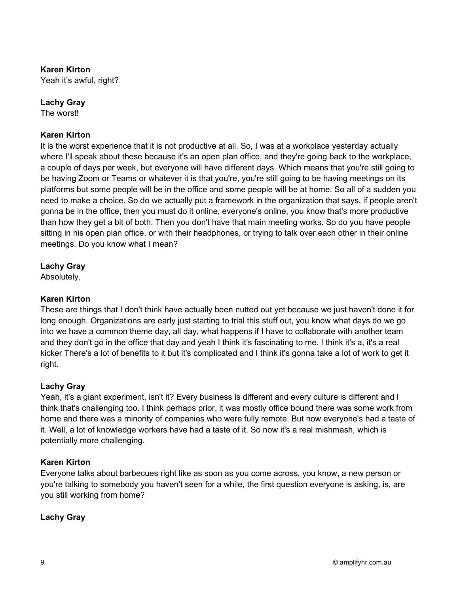## Karen Kirton

Yeah it's awful, right?

## Lachy Gray

The worst!

## Karen Kirton

It is the worst experience that it is not productive at all. So, I was at a workplace yesterday actually where I'll speak about these because it's an open plan office, and they're going back to the workplace, a couple of days per week, but everyone will have different days. Which means that you're still going to be having Zoom or Teams or whatever it is that you're, you're still going to be having meetings on its platforms but some people will be in the office and some people will be at home. So all of a sudden you need to make a choice. So do we actually put a framework in the organization that says, if people aren't gonna be in the office, then you must do it online, everyone's online, you know that's more productive than how they get a bit of both. Then you don't have that main meeting works. So do you have people sitting in his open plan office, or with their headphones, or trying to talk over each other in their online meetings. Do you know what I mean?

## Lachy Gray

Absolutely.

## Karen Kirton

These are things that I don't think have actually been nutted out yet because we just haven't done it for long enough. Organizations are early just starting to trial this stuff out, you know what days do we go into we have a common theme day, all day, what happens if I have to collaborate with another team and they don't go in the office that day and yeah I think it's fascinating to me. I think it's a, it's a real kicker There's a lot of benefits to it but it's complicated and I think it's gonna take a lot of work to get it right.

## Lachy Gray

Yeah, it's a giant experiment, isn't it? Every business is different and every culture is different and I think that's challenging too. I think perhaps prior, it was mostly office bound there was some work from home and there was a minority of companies who were fully remote. But now everyone's had a taste of it. Well, a lot of knowledge workers have had a taste of it. So now it's a real mishmash, which is potentially more challenging.

## Karen Kirton

Everyone talks about barbecues right like as soon as you come across, you know, a new person or you're talking to somebody you haven't seen for a while, the first question everyone is asking, is, are you still working from home?

## Lachy Gray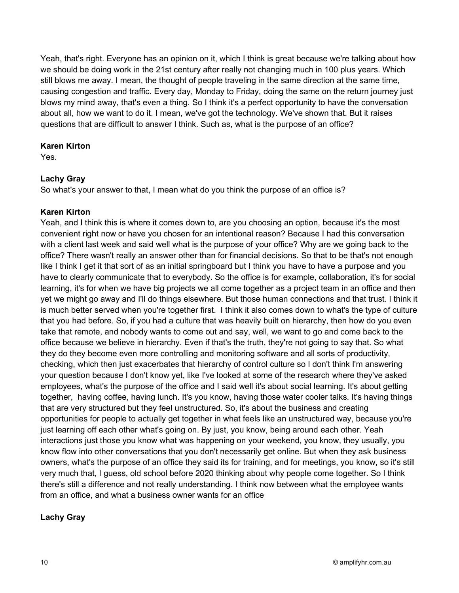Yeah, that's right. Everyone has an opinion on it, which I think is great because we're talking about how we should be doing work in the 21st century after really not changing much in 100 plus years. Which still blows me away. I mean, the thought of people traveling in the same direction at the same time, causing congestion and traffic. Every day, Monday to Friday, doing the same on the return journey just blows my mind away, that's even a thing. So I think it's a perfect opportunity to have the conversation about all, how we want to do it. I mean, we've got the technology. We've shown that. But it raises questions that are difficult to answer I think. Such as, what is the purpose of an office?

## Karen Kirton

Yes.

# Lachy Gray

So what's your answer to that, I mean what do you think the purpose of an office is?

# Karen Kirton

Yeah, and I think this is where it comes down to, are you choosing an option, because it's the most convenient right now or have you chosen for an intentional reason? Because I had this conversation with a client last week and said well what is the purpose of your office? Why are we going back to the office? There wasn't really an answer other than for financial decisions. So that to be that's not enough like I think I get it that sort of as an initial springboard but I think you have to have a purpose and you have to clearly communicate that to everybody. So the office is for example, collaboration, it's for social learning, it's for when we have big projects we all come together as a project team in an office and then yet we might go away and I'll do things elsewhere. But those human connections and that trust. I think it is much better served when you're together first. I think it also comes down to what's the type of culture that you had before. So, if you had a culture that was heavily built on hierarchy, then how do you even take that remote, and nobody wants to come out and say, well, we want to go and come back to the office because we believe in hierarchy. Even if that's the truth, they're not going to say that. So what they do they become even more controlling and monitoring software and all sorts of productivity, checking, which then just exacerbates that hierarchy of control culture so I don't think I'm answering your question because I don't know yet, like I've looked at some of the research where they've asked employees, what's the purpose of the office and I said well it's about social learning. It's about getting together, having coffee, having lunch. It's you know, having those water cooler talks. It's having things that are very structured but they feel unstructured. So, it's about the business and creating opportunities for people to actually get together in what feels like an unstructured way, because you're just learning off each other what's going on. By just, you know, being around each other. Yeah interactions just those you know what was happening on your weekend, you know, they usually, you know flow into other conversations that you don't necessarily get online. But when they ask business owners, what's the purpose of an office they said its for training, and for meetings, you know, so it's still very much that, I guess, old school before 2020 thinking about why people come together. So I think there's still a difference and not really understanding. I think now between what the employee wants from an office, and what a business owner wants for an office

# Lachy Gray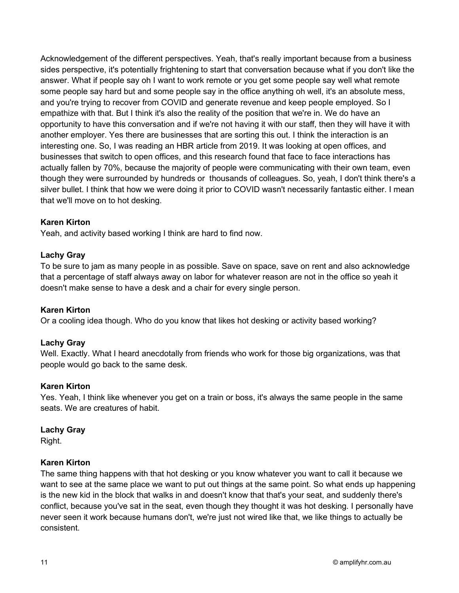Acknowledgement of the different perspectives. Yeah, that's really important because from a business sides perspective, it's potentially frightening to start that conversation because what if you don't like the answer. What if people say oh I want to work remote or you get some people say well what remote some people say hard but and some people say in the office anything oh well, it's an absolute mess, and you're trying to recover from COVID and generate revenue and keep people employed. So I empathize with that. But I think it's also the reality of the position that we're in. We do have an opportunity to have this conversation and if we're not having it with our staff, then they will have it with another employer. Yes there are businesses that are sorting this out. I think the interaction is an interesting one. So, I was reading an HBR article from 2019. It was looking at open offices, and businesses that switch to open offices, and this research found that face to face interactions has actually fallen by 70%, because the majority of people were communicating with their own team, even though they were surrounded by hundreds or thousands of colleagues. So, yeah, I don't think there's a silver bullet. I think that how we were doing it prior to COVID wasn't necessarily fantastic either. I mean that we'll move on to hot desking.

## Karen Kirton

Yeah, and activity based working I think are hard to find now.

## Lachy Gray

To be sure to jam as many people in as possible. Save on space, save on rent and also acknowledge that a percentage of staff always away on labor for whatever reason are not in the office so yeah it doesn't make sense to have a desk and a chair for every single person.

## Karen Kirton

Or a cooling idea though. Who do you know that likes hot desking or activity based working?

## Lachy Gray

Well. Exactly. What I heard anecdotally from friends who work for those big organizations, was that people would go back to the same desk.

#### Karen Kirton

Yes. Yeah, I think like whenever you get on a train or boss, it's always the same people in the same seats. We are creatures of habit.

#### Lachy Gray

Right.

#### Karen Kirton

The same thing happens with that hot desking or you know whatever you want to call it because we want to see at the same place we want to put out things at the same point. So what ends up happening is the new kid in the block that walks in and doesn't know that that's your seat, and suddenly there's conflict, because you've sat in the seat, even though they thought it was hot desking. I personally have never seen it work because humans don't, we're just not wired like that, we like things to actually be consistent.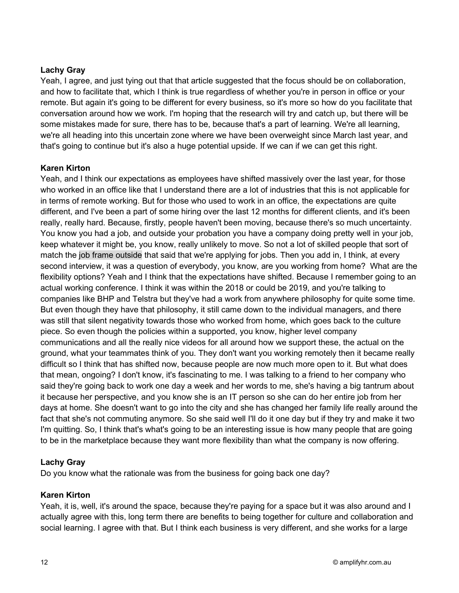## Lachy Gray

Yeah, I agree, and just tying out that that article suggested that the focus should be on collaboration, and how to facilitate that, which I think is true regardless of whether you're in person in office or your remote. But again it's going to be different for every business, so it's more so how do you facilitate that conversation around how we work. I'm hoping that the research will try and catch up, but there will be some mistakes made for sure, there has to be, because that's a part of learning. We're all learning, we're all heading into this uncertain zone where we have been overweight since March last year, and that's going to continue but it's also a huge potential upside. If we can if we can get this right.

## Karen Kirton

Yeah, and I think our expectations as employees have shifted massively over the last year, for those who worked in an office like that I understand there are a lot of industries that this is not applicable for in terms of remote working. But for those who used to work in an office, the expectations are quite different, and I've been a part of some hiring over the last 12 months for different clients, and it's been really, really hard. Because, firstly, people haven't been moving, because there's so much uncertainty. You know you had a job, and outside your probation you have a company doing pretty well in your job, keep whatever it might be, you know, really unlikely to move. So not a lot of skilled people that sort of match the job frame outside that said that we're applying for jobs. Then you add in, I think, at every second interview, it was a question of everybody, you know, are you working from home? What are the flexibility options? Yeah and I think that the expectations have shifted. Because I remember going to an actual working conference. I think it was within the 2018 or could be 2019, and you're talking to companies like BHP and Telstra but they've had a work from anywhere philosophy for quite some time. But even though they have that philosophy, it still came down to the individual managers, and there was still that silent negativity towards those who worked from home, which goes back to the culture piece. So even though the policies within a supported, you know, higher level company communications and all the really nice videos for all around how we support these, the actual on the ground, what your teammates think of you. They don't want you working remotely then it became really difficult so I think that has shifted now, because people are now much more open to it. But what does that mean, ongoing? I don't know, it's fascinating to me. I was talking to a friend to her company who said they're going back to work one day a week and her words to me, she's having a big tantrum about it because her perspective, and you know she is an IT person so she can do her entire job from her days at home. She doesn't want to go into the city and she has changed her family life really around the fact that she's not commuting anymore. So she said well I'll do it one day but if they try and make it two I'm quitting. So, I think that's what's going to be an interesting issue is how many people that are going to be in the marketplace because they want more flexibility than what the company is now offering.

## Lachy Gray

Do you know what the rationale was from the business for going back one day?

## Karen Kirton

Yeah, it is, well, it's around the space, because they're paying for a space but it was also around and I actually agree with this, long term there are benefits to being together for culture and collaboration and social learning. I agree with that. But I think each business is very different, and she works for a large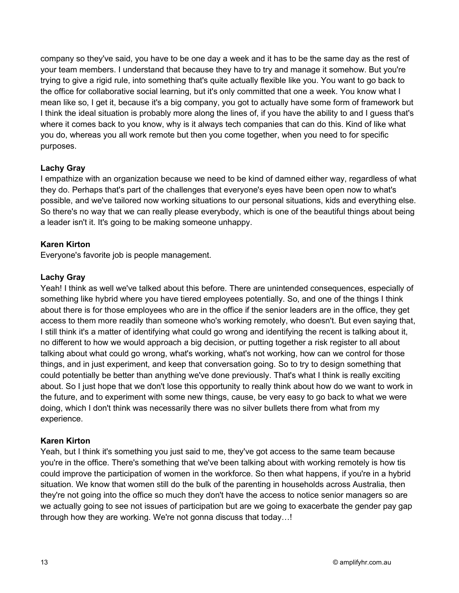company so they've said, you have to be one day a week and it has to be the same day as the rest of your team members. I understand that because they have to try and manage it somehow. But you're trying to give a rigid rule, into something that's quite actually flexible like you. You want to go back to the office for collaborative social learning, but it's only committed that one a week. You know what I mean like so, I get it, because it's a big company, you got to actually have some form of framework but I think the ideal situation is probably more along the lines of, if you have the ability to and I guess that's where it comes back to you know, why is it always tech companies that can do this. Kind of like what you do, whereas you all work remote but then you come together, when you need to for specific purposes.

## Lachy Gray

I empathize with an organization because we need to be kind of damned either way, regardless of what they do. Perhaps that's part of the challenges that everyone's eyes have been open now to what's possible, and we've tailored now working situations to our personal situations, kids and everything else. So there's no way that we can really please everybody, which is one of the beautiful things about being a leader isn't it. It's going to be making someone unhappy.

## Karen Kirton

Everyone's favorite job is people management.

## Lachy Gray

Yeah! I think as well we've talked about this before. There are unintended consequences, especially of something like hybrid where you have tiered employees potentially. So, and one of the things I think about there is for those employees who are in the office if the senior leaders are in the office, they get access to them more readily than someone who's working remotely, who doesn't. But even saying that, I still think it's a matter of identifying what could go wrong and identifying the recent is talking about it, no different to how we would approach a big decision, or putting together a risk register to all about talking about what could go wrong, what's working, what's not working, how can we control for those things, and in just experiment, and keep that conversation going. So to try to design something that could potentially be better than anything we've done previously. That's what I think is really exciting about. So I just hope that we don't lose this opportunity to really think about how do we want to work in the future, and to experiment with some new things, cause, be very easy to go back to what we were doing, which I don't think was necessarily there was no silver bullets there from what from my experience.

## Karen Kirton

Yeah, but I think it's something you just said to me, they've got access to the same team because you're in the office. There's something that we've been talking about with working remotely is how tis could improve the participation of women in the workforce. So then what happens, if you're in a hybrid situation. We know that women still do the bulk of the parenting in households across Australia, then they're not going into the office so much they don't have the access to notice senior managers so are we actually going to see not issues of participation but are we going to exacerbate the gender pay gap through how they are working. We're not gonna discuss that today…!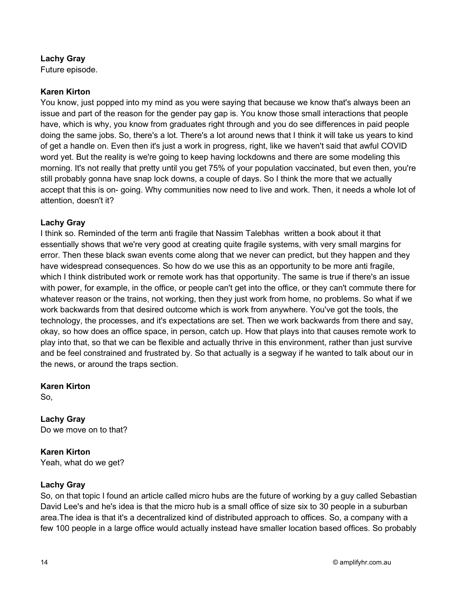## Lachy Gray

Future episode.

## Karen Kirton

You know, just popped into my mind as you were saying that because we know that's always been an issue and part of the reason for the gender pay gap is. You know those small interactions that people have, which is why, you know from graduates right through and you do see differences in paid people doing the same jobs. So, there's a lot. There's a lot around news that I think it will take us years to kind of get a handle on. Even then it's just a work in progress, right, like we haven't said that awful COVID word yet. But the reality is we're going to keep having lockdowns and there are some modeling this morning. It's not really that pretty until you get 75% of your population vaccinated, but even then, you're still probably gonna have snap lock downs, a couple of days. So I think the more that we actually accept that this is on- going. Why communities now need to live and work. Then, it needs a whole lot of attention, doesn't it?

## Lachy Gray

I think so. Reminded of the term anti fragile that Nassim Talebhas written a book about it that essentially shows that we're very good at creating quite fragile systems, with very small margins for error. Then these black swan events come along that we never can predict, but they happen and they have widespread consequences. So how do we use this as an opportunity to be more anti fragile, which I think distributed work or remote work has that opportunity. The same is true if there's an issue with power, for example, in the office, or people can't get into the office, or they can't commute there for whatever reason or the trains, not working, then they just work from home, no problems. So what if we work backwards from that desired outcome which is work from anywhere. You've got the tools, the technology, the processes, and it's expectations are set. Then we work backwards from there and say, okay, so how does an office space, in person, catch up. How that plays into that causes remote work to play into that, so that we can be flexible and actually thrive in this environment, rather than just survive and be feel constrained and frustrated by. So that actually is a segway if he wanted to talk about our in the news, or around the traps section.

Karen Kirton

So,

Lachy Gray Do we move on to that?

Karen Kirton Yeah, what do we get?

## Lachy Gray

So, on that topic I found an article called micro hubs are the future of working by a guy called Sebastian David Lee's and he's idea is that the micro hub is a small office of size six to 30 people in a suburban area.The idea is that it's a decentralized kind of distributed approach to offices. So, a company with a few 100 people in a large office would actually instead have smaller location based offices. So probably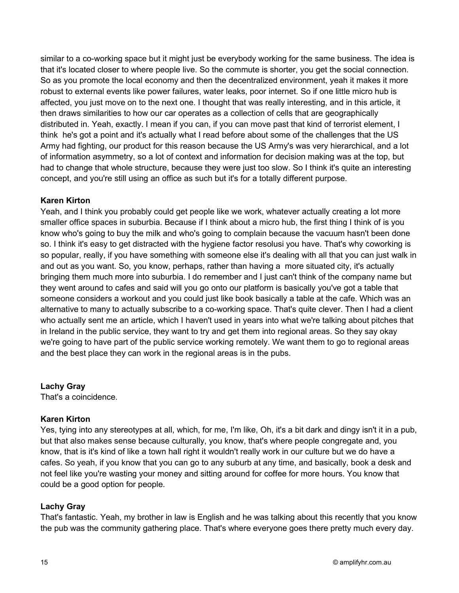similar to a co-working space but it might just be everybody working for the same business. The idea is that it's located closer to where people live. So the commute is shorter, you get the social connection. So as you promote the local economy and then the decentralized environment, yeah it makes it more robust to external events like power failures, water leaks, poor internet. So if one little micro hub is affected, you just move on to the next one. I thought that was really interesting, and in this article, it then draws similarities to how our car operates as a collection of cells that are geographically distributed in. Yeah, exactly. I mean if you can, if you can move past that kind of terrorist element, I think he's got a point and it's actually what I read before about some of the challenges that the US Army had fighting, our product for this reason because the US Army's was very hierarchical, and a lot of information asymmetry, so a lot of context and information for decision making was at the top, but had to change that whole structure, because they were just too slow. So I think it's quite an interesting concept, and you're still using an office as such but it's for a totally different purpose.

## Karen Kirton

Yeah, and I think you probably could get people like we work, whatever actually creating a lot more smaller office spaces in suburbia. Because if I think about a micro hub, the first thing I think of is you know who's going to buy the milk and who's going to complain because the vacuum hasn't been done so. I think it's easy to get distracted with the hygiene factor resolusi you have. That's why coworking is so popular, really, if you have something with someone else it's dealing with all that you can just walk in and out as you want. So, you know, perhaps, rather than having a more situated city, it's actually bringing them much more into suburbia. I do remember and I just can't think of the company name but they went around to cafes and said will you go onto our platform is basically you've got a table that someone considers a workout and you could just like book basically a table at the cafe. Which was an alternative to many to actually subscribe to a co-working space. That's quite clever. Then I had a client who actually sent me an article, which I haven't used in years into what we're talking about pitches that in Ireland in the public service, they want to try and get them into regional areas. So they say okay we're going to have part of the public service working remotely. We want them to go to regional areas and the best place they can work in the regional areas is in the pubs.

Lachy Gray

That's a coincidence.

## Karen Kirton

Yes, tying into any stereotypes at all, which, for me, I'm like, Oh, it's a bit dark and dingy isn't it in a pub, but that also makes sense because culturally, you know, that's where people congregate and, you know, that is it's kind of like a town hall right it wouldn't really work in our culture but we do have a cafes. So yeah, if you know that you can go to any suburb at any time, and basically, book a desk and not feel like you're wasting your money and sitting around for coffee for more hours. You know that could be a good option for people.

#### Lachy Gray

That's fantastic. Yeah, my brother in law is English and he was talking about this recently that you know the pub was the community gathering place. That's where everyone goes there pretty much every day.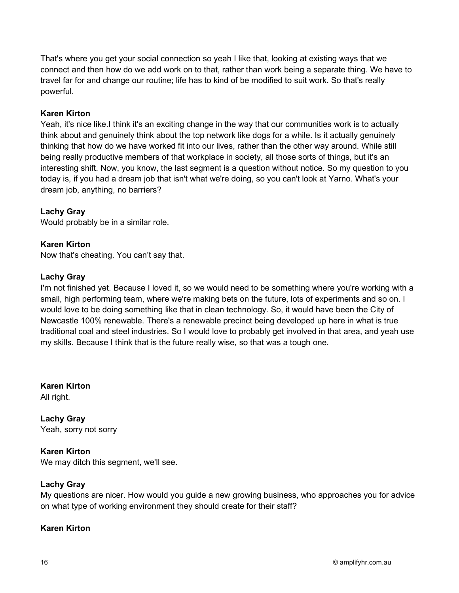That's where you get your social connection so yeah I like that, looking at existing ways that we connect and then how do we add work on to that, rather than work being a separate thing. We have to travel far for and change our routine; life has to kind of be modified to suit work. So that's really powerful.

## Karen Kirton

Yeah, it's nice like.I think it's an exciting change in the way that our communities work is to actually think about and genuinely think about the top network like dogs for a while. Is it actually genuinely thinking that how do we have worked fit into our lives, rather than the other way around. While still being really productive members of that workplace in society, all those sorts of things, but it's an interesting shift. Now, you know, the last segment is a question without notice. So my question to you today is, if you had a dream job that isn't what we're doing, so you can't look at Yarno. What's your dream job, anything, no barriers?

# Lachy Gray

Would probably be in a similar role.

## Karen Kirton

Now that's cheating. You can't say that.

## Lachy Gray

I'm not finished yet. Because I loved it, so we would need to be something where you're working with a small, high performing team, where we're making bets on the future, lots of experiments and so on. I would love to be doing something like that in clean technology. So, it would have been the City of Newcastle 100% renewable. There's a renewable precinct being developed up here in what is true traditional coal and steel industries. So I would love to probably get involved in that area, and yeah use my skills. Because I think that is the future really wise, so that was a tough one.

Karen Kirton All right.

Lachy Gray Yeah, sorry not sorry

Karen Kirton We may ditch this segment, we'll see.

## Lachy Gray

My questions are nicer. How would you guide a new growing business, who approaches you for advice on what type of working environment they should create for their staff?

# Karen Kirton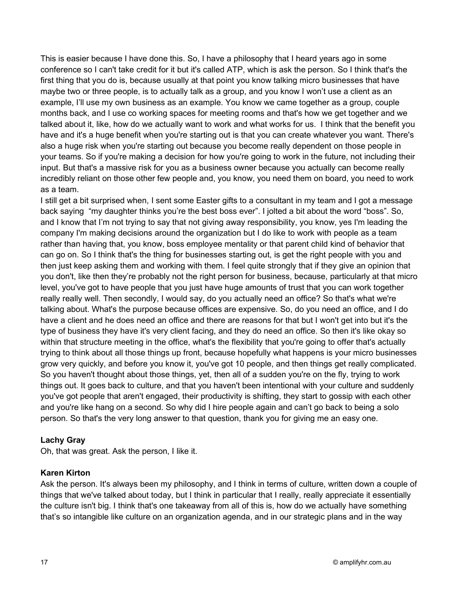This is easier because I have done this. So, I have a philosophy that I heard years ago in some conference so I can't take credit for it but it's called ATP, which is ask the person. So I think that's the first thing that you do is, because usually at that point you know talking micro businesses that have maybe two or three people, is to actually talk as a group, and you know I won't use a client as an example, I'll use my own business as an example. You know we came together as a group, couple months back, and I use co working spaces for meeting rooms and that's how we get together and we talked about it, like, how do we actually want to work and what works for us. I think that the benefit you have and it's a huge benefit when you're starting out is that you can create whatever you want. There's also a huge risk when you're starting out because you become really dependent on those people in your teams. So if you're making a decision for how you're going to work in the future, not including their input. But that's a massive risk for you as a business owner because you actually can become really incredibly reliant on those other few people and, you know, you need them on board, you need to work as a team.

I still get a bit surprised when, I sent some Easter gifts to a consultant in my team and I got a message back saying "my daughter thinks you're the best boss ever". I jolted a bit about the word "boss". So, and I know that I'm not trying to say that not giving away responsibility, you know, yes I'm leading the company I'm making decisions around the organization but I do like to work with people as a team rather than having that, you know, boss employee mentality or that parent child kind of behavior that can go on. So I think that's the thing for businesses starting out, is get the right people with you and then just keep asking them and working with them. I feel quite strongly that if they give an opinion that you don't, like then they're probably not the right person for business, because, particularly at that micro level, you've got to have people that you just have huge amounts of trust that you can work together really really well. Then secondly, I would say, do you actually need an office? So that's what we're talking about. What's the purpose because offices are expensive. So, do you need an office, and I do have a client and he does need an office and there are reasons for that but I won't get into but it's the type of business they have it's very client facing, and they do need an office. So then it's like okay so within that structure meeting in the office, what's the flexibility that you're going to offer that's actually trying to think about all those things up front, because hopefully what happens is your micro businesses grow very quickly, and before you know it, you've got 10 people, and then things get really complicated. So you haven't thought about those things, yet, then all of a sudden you're on the fly, trying to work things out. It goes back to culture, and that you haven't been intentional with your culture and suddenly you've got people that aren't engaged, their productivity is shifting, they start to gossip with each other and you're like hang on a second. So why did I hire people again and can't go back to being a solo person. So that's the very long answer to that question, thank you for giving me an easy one.

## Lachy Gray

Oh, that was great. Ask the person, I like it.

# Karen Kirton

Ask the person. It's always been my philosophy, and I think in terms of culture, written down a couple of things that we've talked about today, but I think in particular that I really, really appreciate it essentially the culture isn't big. I think that's one takeaway from all of this is, how do we actually have something that's so intangible like culture on an organization agenda, and in our strategic plans and in the way